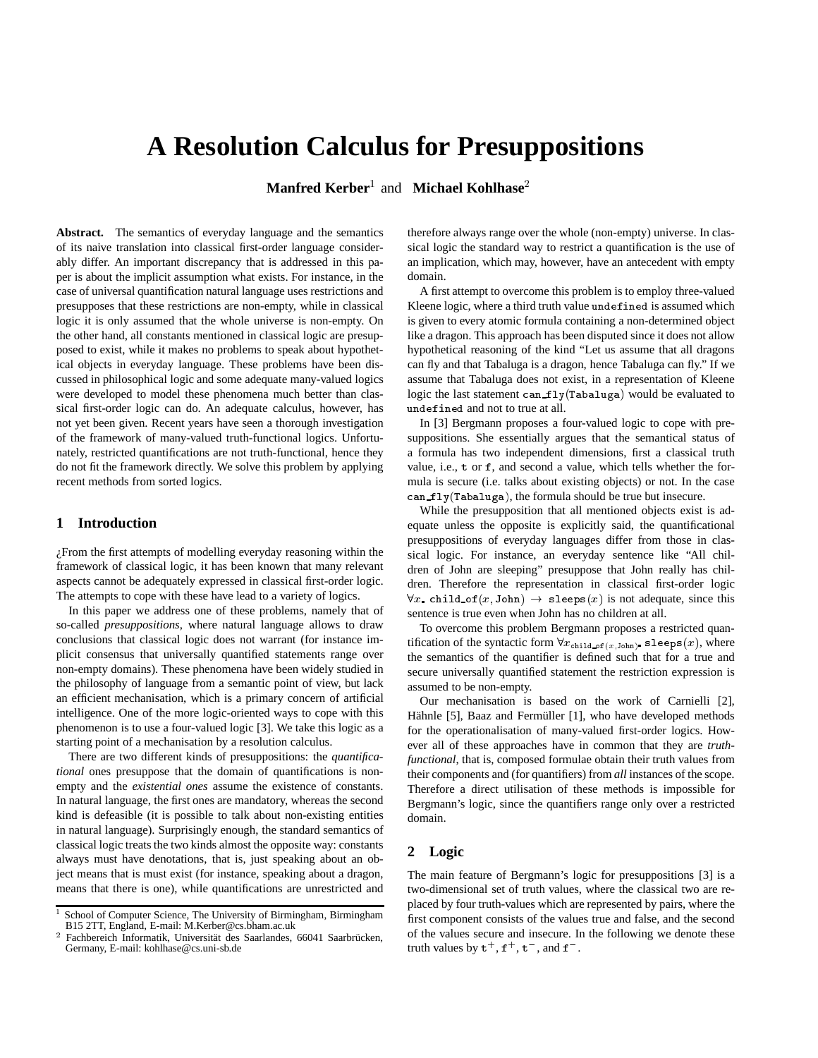# **A Resolution Calculus for Presuppositions**

**Manfred Kerber<sup>1</sup> and Michael Kohlhase<sup>2</sup>** 

**Abstract.** The semantics of everyday language and the semantics of its naive translation into classical first-order language considerably differ. An important discrepancy that is addressed in this paper is about the implicit assumption what exists. For instance, in the case of universal quantification natural language uses restrictions and presupposes that these restrictions are non-empty, while in classical logic it is only assumed that the whole universe is non-empty. On the other hand, all constants mentioned in classical logic are presupposed to exist, while it makes no problems to speak about hypothetical objects in everyday language. These problems have been discussed in philosophical logic and some adequate many-valued logics were developed to model these phenomena much better than classical first-order logic can do. An adequate calculus, however, has not yet been given. Recent years have seen a thorough investigation of the framework of many-valued truth-functional logics. Unfortunately, restricted quantifications are not truth-functional, hence they do not fit the framework directly. We solve this problem by applying recent methods from sorted logics.

# **1 Introduction**

¿From the first attempts of modelling everyday reasoning within the framework of classical logic, it has been known that many relevant aspects cannot be adequately expressed in classical first-order logic. The attempts to cope with these have lead to a variety of logics.

In this paper we address one of these problems, namely that of so-called *presuppositions*, where natural language allows to draw conclusions that classical logic does not warrant (for instance implicit consensus that universally quantified statements range over non-empty domains). These phenomena have been widely studied in the philosophy of language from a semantic point of view, but lack an efficient mechanisation, which is a primary concern of artificial intelligence. One of the more logic-oriented ways to cope with this phenomenon is to use a four-valued logic [3]. We take this logic as a starting point of a mechanisation by a resolution calculus.

There are two different kinds of presuppositions: the *quantificational* ones presuppose that the domain of quantifications is nonempty and the *existential ones* assume the existence of constants. In natural language, the first ones are mandatory, whereas the second kind is defeasible (it is possible to talk about non-existing entities in natural language). Surprisingly enough, the standard semantics of classical logic treats the two kinds almost the opposite way: constants always must have denotations, that is, just speaking about an object means that is must exist (for instance, speaking about a dragon, means that there is one), while quantifications are unrestricted and therefore always range over the whole (non-empty) universe. In classical logic the standard way to restrict a quantification is the use of an implication, which may, however, have an antecedent with empty domain.

A first attempt to overcome this problem is to employ three-valued Kleene logic, where a third truth value undefined is assumed which is given to every atomic formula containing a non-determined object like a dragon. This approach has been disputed since it does not allow hypothetical reasoning of the kind "Let us assume that all dragons can fly and that Tabaluga is a dragon, hence Tabaluga can fly." If we assume that Tabaluga does not exist, in a representation of Kleene logic the last statement can\_fly(Tabaluga) would be evaluated to undefined and not to true at all.

In [3] Bergmann proposes a four-valued logic to cope with presuppositions. She essentially argues that the semantical status of a formula has two independent dimensions, first a classical truth value, i.e., <sup>t</sup> or <sup>f</sup>, and second a value, which tells whether the formula is secure (i.e. talks about existing objects) or not. In the case  $can_fly(Tabaluga)$ , the formula should be true but insecure.

While the presupposition that all mentioned objects exist is adequate unless the opposite is explicitly said, the quantificational presuppositions of everyday languages differ from those in classical logic. For instance, an everyday sentence like "All children of John are sleeping" presuppose that John really has children. Therefore the representation in classical first-order logic  $\forall x$  child of  $(x, John) \rightarrow s$  leeps  $(x)$  is not adequate, since this sentence is true even when John has no children at all.

To overcome this problem Bergmann proposes a restricted quantification of the syntactic form  $\forall x_{\mathtt{child\_of}\,(x,\mathrm{John})}$  sleeps(x), where the semantics of the quantifier is defined such that for a true and secure universally quantified statement the restriction expression is assumed to be non-empty.

Our mechanisation is based on the work of Carnielli [2], Hähnle [5], Baaz and Fermüller [1], who have developed methods for the operationalisation of many-valued first-order logics. However all of these approaches have in common that they are *truthfunctional*, that is, composed formulae obtain their truth values from their components and (for quantifiers) from *all* instances of the scope. Therefore a direct utilisation of these methods is impossible for Bergmann's logic, since the quantifiers range only over a restricted domain.

## **2 Logic**

The main feature of Bergmann's logic for presuppositions [3] is a two-dimensional set of truth values, where the classical two are replaced by four truth-values which are represented by pairs, where the first component consists of the values true and false, and the second of the values secure and insecure. In the following we denote these truth values by  $t^+, f^+, t^-,$  and  $f^-.$ 

School of Computer Science, The University of Birmingham, Birmingham B15 2TT, England, E-mail: M.Kerber@cs.bham.ac.uk

<sup>&</sup>lt;sup>2</sup> Fachbereich Informatik, Universität des Saarlandes, 66041 Saarbrücken, Germany, E-mail: kohlhase@cs.uni-sb.de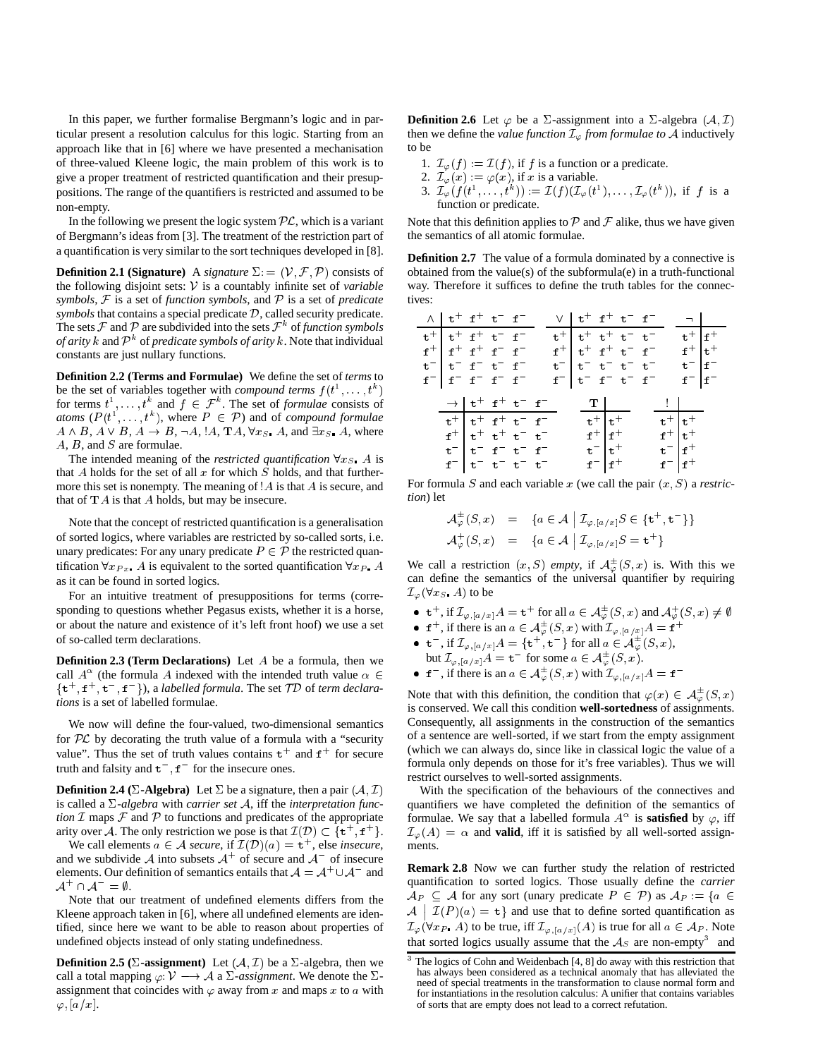In this paper, we further formalise Bergmann's logic and in particular present a resolution calculus for this logic. Starting from an approach like that in [6] where we have presented a mechanisation of three-valued Kleene logic, the main problem of this work is to give a proper treatment of restricted quantification and their presuppositions. The range of the quantifiers is restricted and assumed to be non-empty.

In the following we present the logic system  $PL$ , which is a variant of Bergmann's ideas from [3]. The treatment of the restriction part of a quantification is very similar to the sort techniques developed in [8].

**Definition 2.1 (Signature)** A *signature*  $\Sigma$ : = ( $V$ ,  $F$ ,  $P$ ) consists of the following disjoint sets: <sup>V</sup> is a countably infinite set of *variable symbols*, <sup>F</sup> is a set of *function symbols*, and <sup>P</sup> is a set of *predicate symbols* that contains a special predicate D, called security predicate. The sets  $\mathcal F$  and  $\mathcal P$  are subdivided into the sets  $\mathcal F^k$  of *function symbols of arity*  $k$  and  $\mathcal{P}^k$  of *predicate symbols of arity*  $k$ . Note that individual constants are just nullary functions.

**Definition 2.2 (Terms and Formulae)** We define the set of *terms* to be the set of variables together with *compound terms*  $f(t^1, \ldots, t^k)$ for terms  $t^1, \ldots, t^k$  and  $f \in \mathcal{F}^k$ . The set of *formulae* consists of *atoms*  $(P(t^1, \ldots, t^k))$ , where  $P \in \mathcal{P}$  and of *compound formulae*  $A \wedge B$ ,  $A \vee B$ ,  $A \rightarrow B$ ,  $\neg A$ ,  $\exists A$ ,  $\forall x_S$ ,  $A$ , and  $\exists x_S$ ,  $A$ , where A, <sup>B</sup>, and S are formulae.

The intended meaning of the *restricted quantification*  $\forall x_S$ . A is that A holds for the set of all  $x$  for which  $S$  holds, and that furthermore this set is nonempty. The meaning of  $A$  is that  $A$  is secure, and that of  $TA$  is that  $A$  holds, but may be insecure.

Note that the concept of restricted quantification is a generalisation of sorted logics, where variables are restricted by so-called sorts, i.e. unary predicates: For any unary predicate  $P \in \mathcal{P}$  the restricted quantification  $\forall x_{Px}$ . A is equivalent to the sorted quantification  $\forall x_P$ . A as it can be found in sorted logics.

For an intuitive treatment of presuppositions for terms (corresponding to questions whether Pegasus exists, whether it is a horse, or about the nature and existence of it's left front hoof) we use a set of so-called term declarations.

**Definition 2.3 (Term Declarations)** Let A be a formula, then we call  $A^{\alpha}$  (the formula A indexed with the intended truth value  $\alpha \in$  $\{\mathbf t^+, \mathbf f^+, \mathbf t^-, \mathbf f^-\}$ , a *labelled formula*. The set  $\mathcal{T}\mathcal{D}$  of *term declarations* is a set of labelled formulae.

We now will define the four-valued, two-dimensional semantics for  $PL$  by decorating the truth value of a formula with a "security" value". Thus the set of truth values contains  $t^+$  and  $f^+$  for secure truth and falsity and  $t^-, f^-$  for the insecure ones.

**Definition 2.4 (** $\Sigma$ **-Algebra)** Let  $\Sigma$  be a signature, then a pair ( $\mathcal{A}, \mathcal{I}$ ) is called a  $\Sigma$ -*algebra* with *carrier set*  $\mathcal{A}$ , iff the *interpretation function*  $I$  maps  $I$  and  $P$  to functions and predicates of the appropriate arity over A. The only restriction we pose is that  $\mathcal{I}(\mathcal{D}) \subset \{t^+, t^+\}.$ 

We call elements  $a \in \mathcal{A}$  *secure*, if  $\mathcal{I}(\mathcal{D})(a) = t^+$ , else *insecure*, and we subdivide A into subsets  $A^+$  of secure and  $A^-$  of insecure elements. Our definition of semantics entails that  $A = A^+ \cup A^-$  and  $\mathcal{A}^+\cap\mathcal{A}^-=\emptyset.$ 

Note that our treatment of undefined elements differs from the Kleene approach taken in [6], where all undefined elements are identified, since here we want to be able to reason about properties of undefined objects instead of only stating undefinedness.

**Definition 2.5 (** $\Sigma$ **-assignment)** Let  $(A, \mathcal{I})$  be a  $\Sigma$ -algebra, then we call a total mapping  $\varphi: V \longrightarrow A$  a  $\Sigma$ -assignment. We denote the  $\Sigma$ assignment that coincides with  $\varphi$  away from x and maps x to a with  $\varphi$ ,  $[a/x]$ .

**Definition 2.6** Let  $\varphi$  be a  $\Sigma$ -assignment into a  $\Sigma$ -algebra  $(A, \mathcal{I})$ then we define the *value function*  $\mathcal{I}_{\varphi}$  *from formulae to*  $\mathcal{A}$  inductively to be

- 1.  $\mathcal{I}_{\varphi}(f) := \mathcal{I}(f)$ , if f is a function or a predicate.
- 2.  $\mathcal{I}_{\varphi}(x) := \varphi(x)$ , if x is a variable.
- 3.  $\mathcal{I}_{\varphi}(f(t^1,\ldots,t^k)) := \mathcal{I}(f)(\mathcal{I}_{\varphi}(t^1),\ldots,\mathcal{I}_{\varphi}(t^k)),$  if f is a function or predicate.

Note that this definition applies to  $P$  and  $F$  alike, thus we have given the semantics of all atomic formulae.

**Definition 2.7** The value of a formula dominated by a connective is obtained from the value(s) of the subformula(e) in a truth-functional way. Therefore it suffices to define the truth tables for the connectives:

| $\wedge$   t <sup>+</sup> f <sup>+</sup> t <sup>-</sup> f <sup>-</sup> |                                                                                                                                                                              |  |  | $V$ $t^+$ $t^+$ $t^ t^-$   |                                                                                  |  | $\neg$                                                                           |                      |
|------------------------------------------------------------------------|------------------------------------------------------------------------------------------------------------------------------------------------------------------------------|--|--|----------------------------|----------------------------------------------------------------------------------|--|----------------------------------------------------------------------------------|----------------------|
| $t^+$ $t^+$ $t^ t^ t^-$                                                |                                                                                                                                                                              |  |  | $t^+$ $t^+$ $t^+$ $t^ t^-$ |                                                                                  |  |                                                                                  | $t^+$ f <sup>+</sup> |
| $f^+$ $f^+$ $f^ f^ f^-$                                                |                                                                                                                                                                              |  |  | $f^+$ $t^+$ $f^+$ $t^ f^-$ |                                                                                  |  |                                                                                  | $f^+$ $t^+$          |
| $t^ t^ t^ t^ t^ f^-$                                                   |                                                                                                                                                                              |  |  | $t^ t^ t^ t^ t^-$          |                                                                                  |  |                                                                                  | $t^-$ f <sup>-</sup> |
| $f^ f^ f^ f^ f^-$                                                      |                                                                                                                                                                              |  |  | $f^ t^ f^ t^ f^-$          |                                                                                  |  |                                                                                  | $f^-$   $f^-$        |
|                                                                        | $\rightarrow$ $\vert t^+$ f <sup>+</sup> t <sup>-</sup> f <sup>-</sup><br>$t^+$ $t^+$ $t^+$ $t^ t^-$<br>$f^+$ $t^+$ $t^+$ $t^ t^-$<br>$t^ t^ t^ t^ t^-$<br>$f^ t^ t^ t^ t^-$ |  |  |                            | T<br>$t^+$ $t^+$<br>$f^+$ $f^+$<br>$\mathtt{t}^ \mathtt{t}^+$<br>$f = \vert f^+$ |  | <b>The Common</b><br>$t^+$ $t^+$<br>$f^+$ $t^+$<br>$t^ f^+$<br>$f = \frac{f}{f}$ |                      |

For formula  $S$  and each variable  $x$  (we call the pair  $(x, S)$  a *restriction*) let

$$
\mathcal{A}_{\varphi}^{\pm}(S, x) = \{a \in \mathcal{A} \mid \mathcal{I}_{\varphi, [a/x]}S \in \{\mathbf{t}^+, \mathbf{t}^-\}\}
$$
  

$$
\mathcal{A}_{\varphi}^{\pm}(S, x) = \{a \in \mathcal{A} \mid \mathcal{I}_{\varphi, [a/x]}S = \mathbf{t}^+\}
$$

We call a restriction  $(x, S)$  *empty*, if  $\mathcal{A}_{\varphi}^{\pm}(S, x)$  is. With this we can define the semantics of the universal quantifier by requiring  $\mathcal{I}_{\varphi}(\forall x_{S}$  A) to be

- $t^+$ , if  $\mathcal{I}_{\varphi,[a/x]}A = t^+$  for all  $a \in \mathcal{A}_{\varphi}^{\pm}(S,x)$  and  $\mathcal{A}_{\varphi}^+(S,x) \neq \emptyset$ 
	- f<sup>+</sup>, if there is an  $a \in \mathcal{A}_{\varphi}^{\pm}(S, x)$  with  $\mathcal{I}_{\varphi, [a/x]}A = f^+$

• 
$$
\mathbf{t}^-
$$
, if  $\mathcal{I}_{\varphi,[a/x]}A = \{\mathbf{t}^+, \mathbf{t}^-\}$  for all  $a \in \mathcal{A}_{\varphi}^{\pm}(S, x)$ , but  $\mathcal{I}_{\varphi}$ 

but 
$$
\mathcal{I}_{\varphi,[a/x]}A = \mathbf{t}^-
$$
 for some  $a \in \mathcal{A}_{\varphi}^{\pm}(S, x)$ .  
\n•  $\mathbf{f}^-$ , if there is an  $a \in \mathcal{A}_{\varphi}^{\pm}(S, x)$  with  $\mathcal{I}_{\varphi,[a/x]}A = \mathbf{f}$ 

Note that with this definition, the condition that  $\varphi(x) \in \mathcal{A}_{\varphi}^{\pm}(S, x)$ is conserved. We call this condition **well-sortedness** of assignments. Consequently, all assignments in the construction of the semantics of a sentence are well-sorted, if we start from the empty assignment (which we can always do, since like in classical logic the value of a formula only depends on those for it's free variables). Thus we will restrict ourselves to well-sorted assignments.

With the specification of the behaviours of the connectives and quantifiers we have completed the definition of the semantics of formulae. We say that a labelled formula  $A^{\alpha}$  is **satisfied** by  $\varphi$ , iff  $\mathcal{I}_{\varphi}(A) = \alpha$  and **valid**, iff it is satisfied by all well-sorted assignments.

**Remark 2.8** Now we can further study the relation of restricted quantification to sorted logics. Those usually define the *carrier*  $\mathcal{A}_P \subseteq \mathcal{A}$  for any sort (unary predicate  $P \in \mathcal{P}$ ) as  $\mathcal{A}_P := \{a \in$  $\cdot$  $\mathcal{I}(P)(a) = t$  and use that to define sorted quantification as  $\mathcal{I}_{\varphi}(\forall x_{P} A)$  to be true, iff  $\mathcal{I}_{\varphi,[a/x]}(A)$  is true for all  $a \in \mathcal{A}_{P}$ . Note that sorted logics usually assume that the  $A<sub>S</sub>$  are non-empty<sup>3</sup> and

<sup>&</sup>lt;sup>3</sup> The logics of Cohn and Weidenbach [4, 8] do away with this restriction that has always been considered as a technical anomaly that has alleviated the need of special treatments in the transformation to clause normal form and for instantiations in the resolution calculus: A unifier that contains variables of sorts that are empty does not lead to a correct refutation.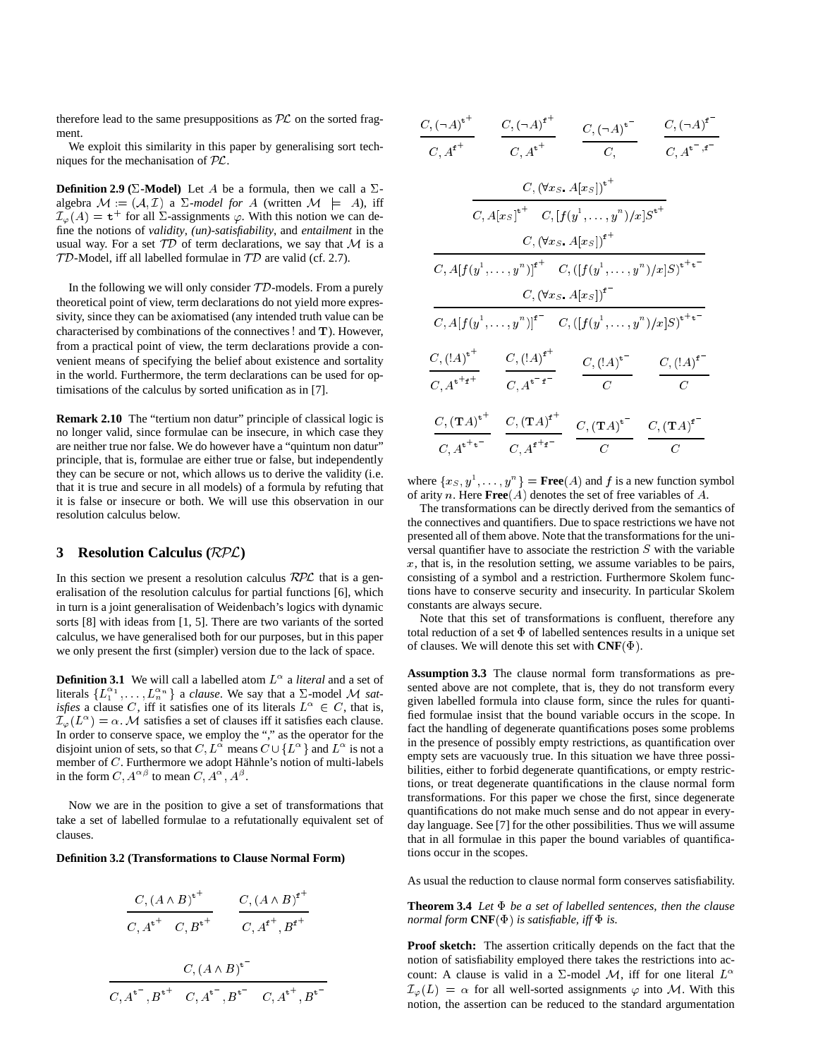therefore lead to the same presuppositions as  $PL$  on the sorted fragment.

We exploit this similarity in this paper by generalising sort techniques for the mechanisation of PL.

**Definition 2.9 (** $\Sigma$ **-Model)** Let A be a formula, then we call a  $\Sigma$ algebra  $M := (\mathcal{A}, \mathcal{I})$  a  $\Sigma$ -model for A (written  $\mathcal{M} \models A$ ), iff  $\mathcal{I}_{\varphi}(A) = \mathbf{t}^+$  for all  $\Sigma$ -assignments  $\varphi$ . With this notion we can define the notions of *validity*, *(un)-satisfiability*, and *entailment* in the usual way. For a set  $TD$  of term declarations, we say that M is a  $TD$ -Model, iff all labelled formulae in  $TD$  are valid (cf. 2.7).

In the following we will only consider  $TD$ -models. From a purely theoretical point of view, term declarations do not yield more expressivity, since they can be axiomatised (any intended truth value can be characterised by combinations of the connectives ! and <sup>T</sup>). However, from a practical point of view, the term declarations provide a convenient means of specifying the belief about existence and sortality in the world. Furthermore, the term declarations can be used for optimisations of the calculus by sorted unification as in [7].

**Remark 2.10** The "tertium non datur" principle of classical logic is no longer valid, since formulae can be insecure, in which case they are neither true nor false. We do however have a "quintum non datur" principle, that is, formulae are either true or false, but independently they can be secure or not, which allows us to derive the validity (i.e. that it is true and secure in all models) of a formula by refuting that it is false or insecure or both. We will use this observation in our resolution calculus below.

# **3 Resolution Calculus (**RPL**)**

In this section we present a resolution calculus  $RPL$  that is a generalisation of the resolution calculus for partial functions [6], which in turn is a joint generalisation of Weidenbach's logics with dynamic sorts [8] with ideas from [1, 5]. There are two variants of the sorted calculus, we have generalised both for our purposes, but in this paper we only present the first (simpler) version due to the lack of space.

**Definition 3.1** We will call a labelled atom  $L^{\alpha}$  a *literal* and a set of literals  $\{L_1^{\alpha_1}, \ldots, L_n^{\alpha_n}\}$  a *clause*. We say that a  $\Sigma$ -model M *satisfies* a clause C, iff it satisfies one of its literals  $L^{\alpha} \in C$ , that is,  $\mathcal{I}_{\varphi}(L^{\alpha}) = \alpha$ . M satisfies a set of clauses iff it satisfies each clause. In order to conserve space, we employ the "," as the operator for the disjoint union of sets, so that  $C, L^{\alpha}$  means  $C \cup \{L^{\alpha}\}\$ and  $L^{\alpha}$  is not a member of  $C$ . Furthermore we adopt Hähnle's notion of multi-labels in the form  $C, A^{\alpha\beta}$  to mean  $C, A^{\alpha}, A^{\beta}$ .

Now we are in the position to give a set of transformations that take a set of labelled formulae to a refutationally equivalent set of clauses.

#### **Definition 3.2 (Transformations to Clause Normal Form)**

$$
\frac{C, (A \wedge B)^{t^+}}{C, A^{t^+} \quad C, B^{t^+}} \qquad \frac{C, (A \wedge B)^{t^+}}{C, A^{t^+}, B^{t^+}}
$$

$$
\frac{C, (A \wedge B)^{t^{-}}}{C, A^{t^{-}}, B^{t^{+}} \quad C, A^{t^{-}}, B^{t^{-}} \quad C, A^{t^{+}}, B^{t^{-}}}
$$

| $C, \left(\neg A\right)^{\mathtt{t}^+}$                                             | $C, (\neg A)^{f^+}$                                                                                                 | $C, (\neg A)^{\mathbf{t}}$               | $C, (\neg A)^{\mathbf{f}}$           |  |  |  |  |  |
|-------------------------------------------------------------------------------------|---------------------------------------------------------------------------------------------------------------------|------------------------------------------|--------------------------------------|--|--|--|--|--|
| $C,\operatorname{A}^{\mathbf{f}^+}$                                                 | $C, A^{t^+}$                                                                                                        | C,                                       | $C, A^{t^-,f^-}$                     |  |  |  |  |  |
|                                                                                     |                                                                                                                     | $C, (\forall x_S \ A[x_S])^{t^+}$        |                                      |  |  |  |  |  |
| $C, A[x_S]^{t^+}$ $C, [f(y^1, \ldots, y^n)/x]S^{t^+}$                               |                                                                                                                     |                                          |                                      |  |  |  |  |  |
|                                                                                     |                                                                                                                     | $C, (\forall x_S \ A[x_S])^{f^+}$        |                                      |  |  |  |  |  |
|                                                                                     | $C, A[f(y^1, \ldots, y^n)]^{f^+}$ $C, ([f(y^1, \ldots, y^n)/x]S)^{f^+g^-}$                                          |                                          |                                      |  |  |  |  |  |
|                                                                                     |                                                                                                                     | $C, (\forall x_S \ A[x_S])^{\mathbf{f}}$ |                                      |  |  |  |  |  |
|                                                                                     | $C, A[f(y^1, \ldots, y^n)]^{\mathbf{f}} = C, ([f(y^1, \ldots, y^n)/x]S)^{\mathbf{t}^{\mathbf{t} + \mathbf{t}^{-}}}$ |                                          |                                      |  |  |  |  |  |
| $C, (\mathord!A)^{{\tt t}^+}$<br>$C, A^{t^+t^+}$                                    | $C, (!A)^{f^+}$<br>$C, A^{t^-t^-}$                                                                                  | $C, (!A)^{t}$<br>$\overline{C}$          | $C, (!A)^{f^-}$<br>$\overline{C}$    |  |  |  |  |  |
| $C, (\mathrm{T}A)^{\mathtt{t}^+}$<br>$C, \boldsymbol{A}^{\mathbf{t}^+\mathbf{t}^-}$ | $C, (\mathrm{T}A)^{\mathrm{f}^+}$<br>$C, A^{f^+f^-}$                                                                | $C, {(\mathbf{T}A)}^{\mathtt t^-}$<br>С  | $C, (\mathbf{T}A)^{\mathbf{f}}$<br>С |  |  |  |  |  |

where  $\{x_S, y^1, \ldots, y^n\}$  = **Free**(A) and f is a new function symbol of arity <sup>n</sup>. Here **Free**(A) denotes the set of free variables of A.

The transformations can be directly derived from the semantics of the connectives and quantifiers. Due to space restrictions we have not presented all of them above. Note that the transformations for the universal quantifier have to associate the restriction S with the variable  $x$ , that is, in the resolution setting, we assume variables to be pairs, consisting of a symbol and a restriction. Furthermore Skolem functions have to conserve security and insecurity. In particular Skolem constants are always secure.

Note that this set of transformations is confluent, therefore any total reduction of a set  $\Phi$  of labelled sentences results in a unique set of clauses. We will denote this set with  $\text{CNF}(\Phi)$ .

**Assumption 3.3** The clause normal form transformations as presented above are not complete, that is, they do not transform every given labelled formula into clause form, since the rules for quantified formulae insist that the bound variable occurs in the scope. In fact the handling of degenerate quantifications poses some problems in the presence of possibly empty restrictions, as quantification over empty sets are vacuously true. In this situation we have three possibilities, either to forbid degenerate quantifications, or empty restrictions, or treat degenerate quantifications in the clause normal form transformations. For this paper we chose the first, since degenerate quantifications do not make much sense and do not appear in everyday language. See [7] for the other possibilities. Thus we will assume that in all formulae in this paper the bound variables of quantifications occur in the scopes.

As usual the reduction to clause normal form conserves satisfiability.

**Theorem 3.4** *Let be a set of labelled sentences, then the clause normal form*  $\mathbf{CNF}(\Phi)$  *is satisfiable, iff*  $\Phi$  *is.* 

**Proof sketch:** The assertion critically depends on the fact that the notion of satisfiability employed there takes the restrictions into account: A clause is valid in a  $\Sigma$ -model M, iff for one literal  $L^{\alpha}$  $\mathcal{I}_{\varphi}(L) = \alpha$  for all well-sorted assignments  $\varphi$  into M. With this notion, the assertion can be reduced to the standard argumentation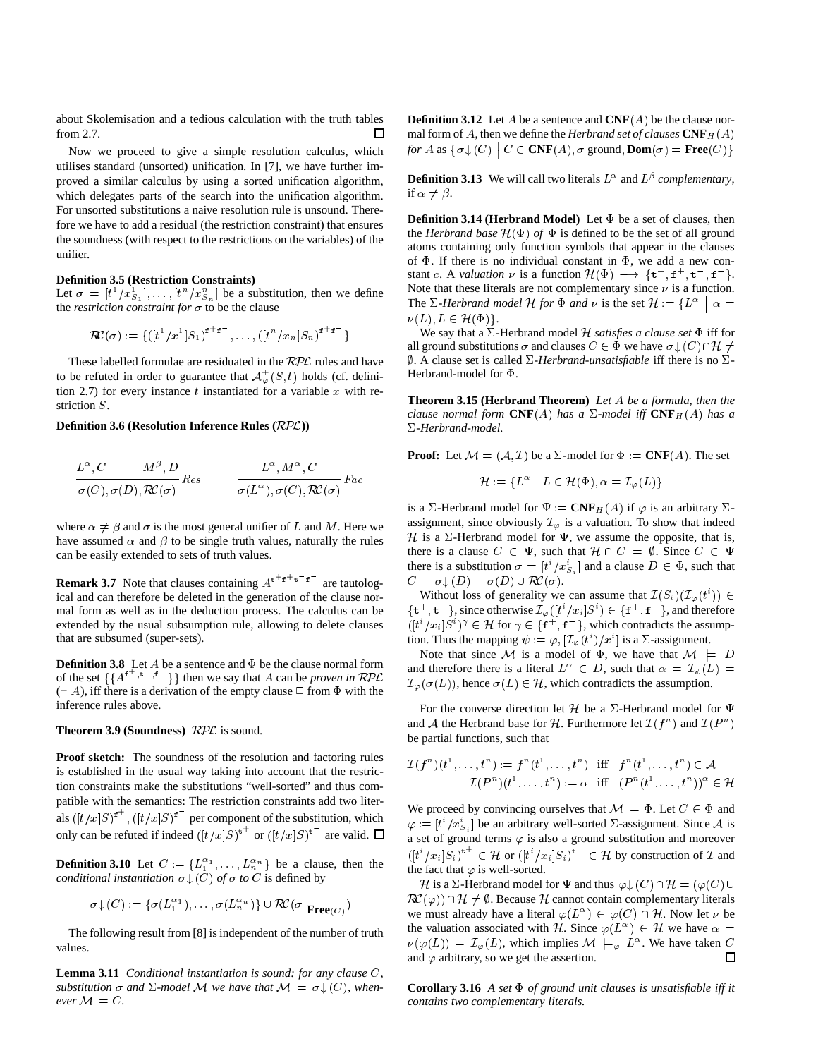about Skolemisation and a tedious calculation with the truth tables from 2.7.

Now we proceed to give a simple resolution calculus, which utilises standard (unsorted) unification. In [7], we have further improved a similar calculus by using a sorted unification algorithm, which delegates parts of the search into the unification algorithm. For unsorted substitutions a naive resolution rule is unsound. Therefore we have to add a residual (the restriction constraint) that ensures the soundness (with respect to the restrictions on the variables) of the unifier.

## **Definition 3.5 (Restriction Constraints)**

Let  $\sigma = [t^1/x_{S_1}^1], \ldots, [t^n/x_{S_n}^n]$  be a substitution, then we define the *restriction constraint for*  $\sigma$  to be the clause

$$
\mathcal{RC}(\sigma) := \{([t^1/x^1]S_1)^{f^+f^-}, \ldots, ([t^n/x_n]S_n)^{f^+f^-}\}
$$

These labelled formulae are residuated in the RPL rules and have to be refuted in order to guarantee that  $\mathcal{A}_{\varphi}^{\pm}(S,t)$  holds (cf. definition 2.7) for every instance  $t$  instantiated for a variable  $x$  with restriction S.

#### **Definition 3.6 (Resolution Inference Rules (**RPL**))**

$$
\frac{L^{\alpha}, C \qquad M^{\beta}, D}{\sigma(C), \sigma(D), \mathcal{R\!C}(\sigma)} Res \qquad \qquad \frac{L^{\alpha}, M^{\alpha}, C}{\sigma(L^{\alpha}), \sigma(C), \mathcal{R}\mathcal{C}(\sigma)} Fac
$$

where  $\alpha \neq \beta$  and  $\sigma$  is the most general unifier of L and M. Here we have assumed  $\alpha$  and  $\beta$  to be single truth values, naturally the rules can be easily extended to sets of truth values.

**Remark 3.7** Note that clauses containing  $A^{t+f+t}$  are tautological and can therefore be deleted in the generation of the clause normal form as well as in the deduction process. The calculus can be extended by the usual subsumption rule, allowing to delete clauses that are subsumed (super-sets).

**Definition 3.8** Let A be a sentence and  $\Phi$  be the clause normal form of the set  $\{A^{f^+,t^-,f^+}\}\}$  then we say that A can be *proven in* RPL  $( \vdash A)$ , iff there is a derivation of the empty clause  $\Box$  from  $\Phi$  with the inference rules above.

**Theorem 3.9 (Soundness)**  $RPL$  is sound.

**Proof sketch:** The soundness of the resolution and factoring rules is established in the usual way taking into account that the restriction constraints make the substitutions "well-sorted" and thus compatible with the semantics: The restriction constraints add two literals  $([t/x]S)^{\dagger}$ ,  $([t/x]S)^{\dagger}$  per component of the substitution, which only can be refuted if indeed  $([t/x]S)^{t+}$  or  $([t/x]S)^{t-}$  are valid.

**Definition 3.10** Let  $C := \{L_1^{\alpha_1}, \ldots, L_n^{\alpha_n}\}\$  be a clause, then the *conditional instantiation*  $\sigma \downarrow (C)$  *of*  $\sigma$  *to C* is defined by

$$
\sigma\downarrow(C):=\{\sigma(L_1^{\alpha_1}),\ldots,\sigma(L_n^{\alpha_n})\}\cup\mathcal{RC}(\sigma|_{\mathbf{Free}(C)})
$$

The following result from [8] is independent of the number of truth values.

**Lemma 3.11** *Conditional instantiation is sound: for any clause* C*, substitution*  $\sigma$  and  $\Sigma$ -model M we have that  $M \models \sigma \downarrow (C)$ , when*ever*  $M \models C$ *.* 

**Definition 3.12** Let A be a sentence and **CNF**(A) be the clause normal form of A, then we define the *Herbrand set of clauses*  $\mathbf{CNF}_{H}(A)$ *for A* as  $\{\sigma \downarrow (C) \mid C \in \text{CNF}(A), \sigma \text{ ground}, \text{Dom}(\sigma) = \text{Free}(C)\}\$ 

**Definition 3.13** We will call two literals  $L^{\alpha}$  and  $L^{\beta}$  *complementary*, if  $\alpha \neq \beta$ .

**Definition 3.14 (Herbrand Model)** Let  $\Phi$  be a set of clauses, then the *Herbrand base*  $\mathcal{H}(\Phi)$  *of*  $\Phi$  is defined to be the set of all ground atoms containing only function symbols that appear in the clauses of  $\Phi$ . If there is no individual constant in  $\Phi$ , we add a new constant c. A *valuation*  $\nu$  is a function  $\mathcal{H}(\Phi) \longrightarrow \{t^+, t^-, t^-, t^-\}.$ Note that these literals are not complementary since  $\nu$  is a function. The  $\Sigma$ -Herbrand model H for  $\Phi$  and  $\nu$  is the set  $\mathcal{H} := \{ L^{\alpha} \mid \alpha \equiv \emptyset \}$  $\nu(L), L \in \mathcal{H}(\Phi)$ .

We say that a  $\Sigma$ -Herbrand model H *satisfies a clause set*  $\Phi$  iff for all ground substitutions  $\sigma$  and clauses  $C \in \Phi$  we have  $\sigma \downarrow (C) \cap \mathcal{H} \neq \emptyset$  $\emptyset$ . A clause set is called  $\Sigma$ -*Herbrand-unsatisfiable* iff there is no  $\Sigma$ -Herbrand-model for  $\Phi$ .

**Theorem 3.15 (Herbrand Theorem)** *Let* A *be a formula, then the clause normal form*  $\text{CNF}(A)$  *has a*  $\Sigma$ -model iff  $\text{CNF}_H(A)$  *has a -Herbrand-model.*

**Proof:** Let  $M = (A, \mathcal{I})$  be a  $\Sigma$ -model for  $\Phi := \mathbf{CNF}(A)$ . The set

$$
\mathcal{H} := \{ L^{\alpha} \mid L \in \mathcal{H}(\Phi), \alpha = \mathcal{I}_{\varphi}(L) \}
$$

is a  $\Sigma$ -Herbrand model for  $\Psi := \mathbf{CNF}_H(A)$  if  $\varphi$  is an arbitrary  $\Sigma$ assignment, since obviously  $\mathcal{I}_{\varphi}$  is a valuation. To show that indeed H is a  $\Sigma$ -Herbrand model for  $\Psi$ , we assume the opposite, that is, there is a clause  $C \in \Psi$ , such that  $\mathcal{H} \cap C = \emptyset$ . Since  $C \in \Psi$ there is a substitution  $\sigma = [t^i / x_{S_i}^i]$  and a clause  $D \in \Phi$ , such that  $C = \sigma \mathcal{L}(D) = \sigma(D) \cup \mathcal{RC}(\sigma).$ 

Without loss of generality we can assume that  $\mathcal{I}(S_i)(\mathcal{I}_{\varphi}(t^i)) \in$  $\{\mathbf t^+, \mathbf t^-\}$ , since otherwise  $\mathcal{I}_{\varphi}([t^*/x_i]S^i) \in \{\mathbf f^+, \mathbf f^-\}$ , and therefore  $([t^i/x_i]S^i)^\gamma \in \mathcal{H}$  for  $\gamma \in \{\texttt{f}^+, \texttt{f}^-\}$ , which contradicts the assumption. Thus the mapping  $\psi := \varphi, [\mathcal{I}_{\varphi}(t^i)/x^i]$  is a  $\Sigma$ -assignment.

Note that since M is a model of  $\Phi$ , we have that  $M \models D$ and therefore there is a literal  $L^{\alpha} \in D$ , such that  $\alpha = \mathcal{I}_{\psi}(L) =$  $\mathcal{I}_{\varphi}(\sigma(L))$ , hence  $\sigma(L) \in \mathcal{H}$ , which contradicts the assumption.

For the converse direction let H be a  $\Sigma$ -Herbrand model for  $\Psi$ and A the Herbrand base for H. Furthermore let  $\mathcal{I}(f^n)$  and  $\mathcal{I}(P^n)$ be partial functions, such that

$$
\mathcal{I}(f^n)(t^1,\ldots,t^n):=f^n(t^1,\ldots,t^n) \quad \text{iff} \quad f^n(t^1,\ldots,t^n)\in \mathcal{A}\\ \mathcal{I}(P^n)(t^1,\ldots,t^n):=\alpha \quad \text{iff} \quad (P^n(t^1,\ldots,t^n))^{\alpha}\in \mathcal{H}
$$

We proceed by convincing ourselves that  $M \models \Phi$ . Let  $C \in \Phi$  and  $\varphi := [t^i / x_{S_i}^i]$  be an arbitrary well-sorted  $\Sigma$ -assignment. Since A is a set of ground terms  $\varphi$  is also a ground substitution and moreover  $([t^i/x_i]S_i)^{\dagger} \in \mathcal{H}$  or  $([t^i/x_i]S_i)^{\dagger} \in \mathcal{H}$  by construction of  $\mathcal{I}$  and the fact that  $\varphi$  is well-sorted.

Herbrand model for  $\Psi$  and thus  $\varphi \downarrow (C) \cap \mathcal{H} = (\varphi(C) \cup \mathcal{H})$  $\mathcal{RC}(\varphi) \cap \mathcal{H} \neq \emptyset$ . Because H cannot contain complementary literals we must already have a literal  $\varphi(L^{\alpha}) \in \varphi(C) \cap \mathcal{H}$ . Now let  $\nu$  be the valuation associated with H. Since  $\varphi(L^{\alpha}) \in \mathcal{H}$  we have  $\alpha =$  $\nu(\varphi(L)) = \mathcal{I}_{\varphi}(L)$ , which implies  $\mathcal{M} \models_{\varphi} L^{\alpha}$ . We have taken C and  $\varphi$  arbitrary, so we get the assertion.  $\Box$ 

**Corollary 3.16** *A set of ground unit clauses is unsatisfiable iff it contains two complementary literals.*